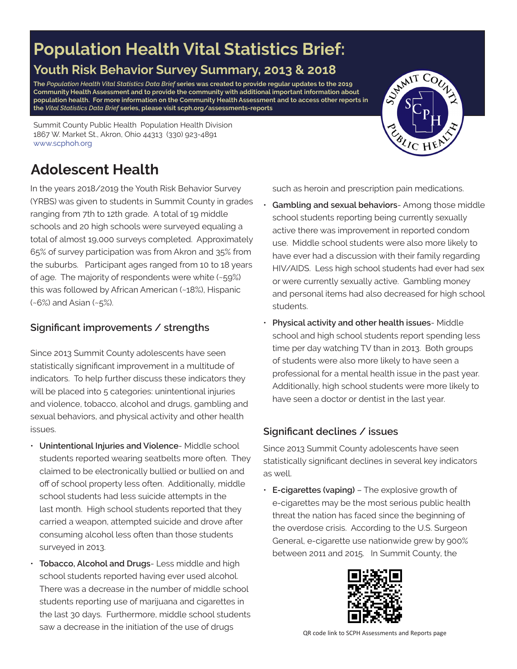# **Population Health Vital Statistics Brief:**

## **Youth Risk Behavior Survey Summary, 2013 & 2018**

**The** *Population Health Vital Statistics Data Brief* **series was created to provide regular updates to the 2019 Community Health Assessment and to provide the community with additional important information about population health. For more information on the Community Health Assessment and to access other reports in the** *Vital Statistics Data Brief* **series, please visit scph.org/assessments-reports**

Summit County Public Health Population Health Division 1867 W. Market St., Akron, Ohio 44313 (330) 923-4891 [www.scphoh.org](http://www.scphoh.org)

# **Adolescent Health**

In the years 2018/2019 the Youth Risk Behavior Survey (YRBS) was given to students in Summit County in grades ranging from 7th to 12th grade. A total of 19 middle schools and 20 high schools were surveyed equaling a total of almost 19,000 surveys completed. Approximately 65% of survey participation was from Akron and 35% from the suburbs. Participant ages ranged from 10 to 18 years of age. The majority of respondents were white (~59%) this was followed by African American (~18%), Hispanic (~6%) and Asian (~5%).

### **Significant improvements / strengths**

Since 2013 Summit County adolescents have seen statistically significant improvement in a multitude of indicators. To help further discuss these indicators they will be placed into 5 categories: unintentional injuries and violence, tobacco, alcohol and drugs, gambling and sexual behaviors, and physical activity and other health issues.

- **Unintentional Injuries and Violence** Middle school students reported wearing seatbelts more often. They claimed to be electronically bullied or bullied on and off of school property less often. Additionally, middle school students had less suicide attempts in the last month. High school students reported that they carried a weapon, attempted suicide and drove after consuming alcohol less often than those students surveyed in 2013.
- **Tobacco, Alcohol and Drugs** Less middle and high school students reported having ever used alcohol. There was a decrease in the number of middle school students reporting use of marijuana and cigarettes in the last 30 days. Furthermore, middle school students saw a decrease in the initiation of the use of drugs

such as heroin and prescription pain medications.

- **Gambling and sexual behaviors** Among those middle school students reporting being currently sexually active there was improvement in reported condom use. Middle school students were also more likely to have ever had a discussion with their family regarding HIV/AIDS. Less high school students had ever had sex or were currently sexually active. Gambling money and personal items had also decreased for high school students.
- **Physical activity and other health issues** Middle school and high school students report spending less time per day watching TV than in 2013. Both groups of students were also more likely to have seen a professional for a mental health issue in the past year. Additionally, high school students were more likely to have seen a doctor or dentist in the last year.

### **Significant declines / issues**

Since 2013 Summit County adolescents have seen statistically significant declines in several key indicators as well.

• **E-cigarettes (vaping)** – The explosive growth of e-cigarettes may be the most serious public health threat the nation has faced since the beginning of the overdose crisis. According to the U.S. Surgeon General, e-cigarette use nationwide grew by 900% between 2011 and 2015. In Summit County, the



QR code link to SCPH Assessments and Reports page

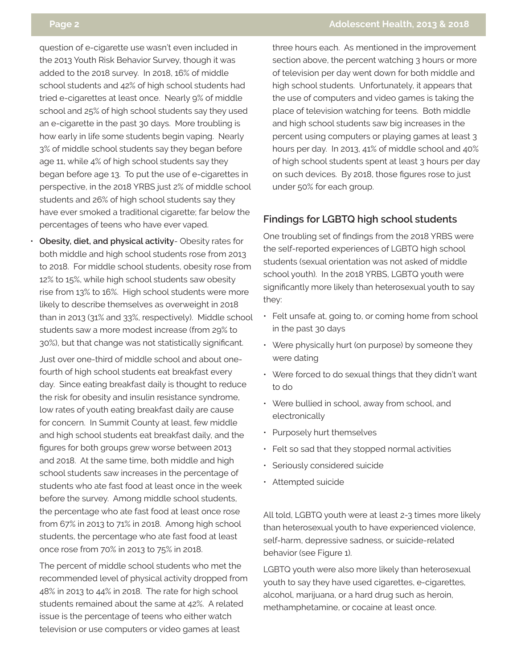question of e-cigarette use wasn't even included in the 2013 Youth Risk Behavior Survey, though it was added to the 2018 survey. In 2018, 16% of middle school students and 42% of high school students had tried e-cigarettes at least once. Nearly 9% of middle school and 25% of high school students say they used an e-cigarette in the past 30 days. More troubling is how early in life some students begin vaping. Nearly 3% of middle school students say they began before age 11, while 4% of high school students say they began before age 13. To put the use of e-cigarettes in perspective, in the 2018 YRBS just 2% of middle school students and 26% of high school students say they have ever smoked a traditional cigarette; far below the percentages of teens who have ever vaped.

• **Obesity, diet, and physical activity**- Obesity rates for both middle and high school students rose from 2013 to 2018. For middle school students, obesity rose from 12% to 15%, while high school students saw obesity rise from 13% to 16%. High school students were more likely to describe themselves as overweight in 2018 than in 2013 (31% and 33%, respectively). Middle school students saw a more modest increase (from 29% to 30%), but that change was not statistically significant.

Just over one-third of middle school and about onefourth of high school students eat breakfast every day. Since eating breakfast daily is thought to reduce the risk for obesity and insulin resistance syndrome, low rates of youth eating breakfast daily are cause for concern. In Summit County at least, few middle and high school students eat breakfast daily, and the figures for both groups grew worse between 2013 and 2018. At the same time, both middle and high school students saw increases in the percentage of students who ate fast food at least once in the week before the survey. Among middle school students, the percentage who ate fast food at least once rose from 67% in 2013 to 71% in 2018. Among high school students, the percentage who ate fast food at least once rose from 70% in 2013 to 75% in 2018.

The percent of middle school students who met the recommended level of physical activity dropped from 48% in 2013 to 44% in 2018. The rate for high school students remained about the same at 42%. A related issue is the percentage of teens who either watch television or use computers or video games at least

three hours each. As mentioned in the improvement section above, the percent watching 3 hours or more of television per day went down for both middle and high school students. Unfortunately, it appears that the use of computers and video games is taking the place of television watching for teens. Both middle and high school students saw big increases in the percent using computers or playing games at least 3 hours per day. In 2013, 41% of middle school and 40% of high school students spent at least 3 hours per day on such devices. By 2018, those figures rose to just under 50% for each group.

### **Findings for LGBTQ high school students**

One troubling set of findings from the 2018 YRBS were the self-reported experiences of LGBTQ high school students (sexual orientation was not asked of middle school youth). In the 2018 YRBS, LGBTQ youth were significantly more likely than heterosexual youth to say they:

- Felt unsafe at, going to, or coming home from school in the past 30 days
- Were physically hurt (on purpose) by someone they were dating
- Were forced to do sexual things that they didn't want to do
- Were bullied in school, away from school, and electronically
- Purposely hurt themselves
- Felt so sad that they stopped normal activities
- Seriously considered suicide
- Attempted suicide

All told, LGBTQ youth were at least 2-3 times more likely than heterosexual youth to have experienced violence, self-harm, depressive sadness, or suicide-related behavior (see Figure 1).

LGBTQ youth were also more likely than heterosexual youth to say they have used cigarettes, e-cigarettes, alcohol, marijuana, or a hard drug such as heroin, methamphetamine, or cocaine at least once.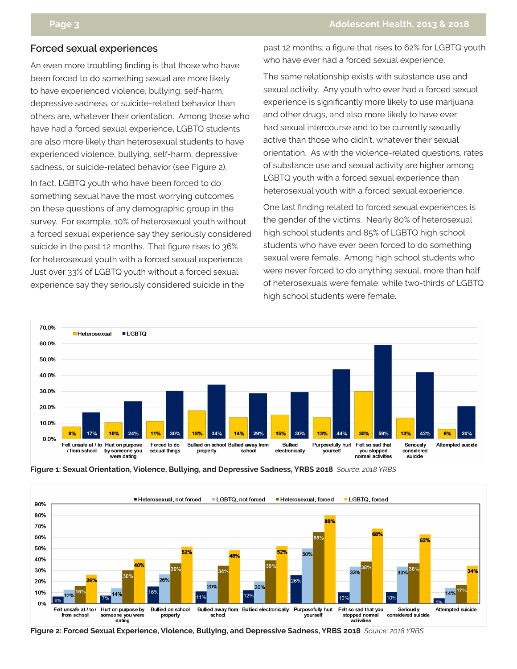### **Forced sexual experiences**

An even more troubling finding is that those who have been forced to do something sexual are more likely to have experienced violence, bullying, self-harm, depressive sadness, or suicide-related behavior than others are, whatever their orientation. Among those who have had a forced sexual experience, LGBTQ students are also more likely than heterosexual students to have experienced violence, bullying, self-harm, depressive sadness, or suicide-related behavior (see Figure 2).

In fact, LGBTQ youth who have been forced to do something sexual have the most worrying outcomes on these questions of any demographic group in the survey. For example, 10% of heterosexual youth without a forced sexual experience say they seriously considered suicide in the past 12 months. That figure rises to 36% for heterosexual youth with a forced sexual experience. Just over 33% of LGBTQ youth without a forced sexual experience say they seriously considered suicide in the

past 12 months; a figure that rises to 62% for LGBTQ youth who have ever had a forced sexual experience.

The same relationship exists with substance use and sexual activity. Any youth who ever had a forced sexual experience is significantly more likely to use marijuana and other drugs, and also more likely to have ever had sexual intercourse and to be currently sexually active than those who didn't, whatever their sexual orientation. As with the violence-related questions, rates of substance use and sexual activity are higher among LGBTQ youth with a forced sexual experience than heterosexual youth with a forced sexual experience.

One last finding related to forced sexual experiences is the gender of the victims. Nearly 80% of heterosexual high school students and 85% of LGBTQ high school students who have ever been forced to do something sexual were female. Among high school students who were never forced to do anything sexual, more than half of heterosexuals were female, while two-thirds of LGBTQ high school students were female.







**Figure 2: Forced Sexual Experience, Violence, Bullying, and Depressive Sadness, YRBS 2018** *Source: 2018 YRBS*